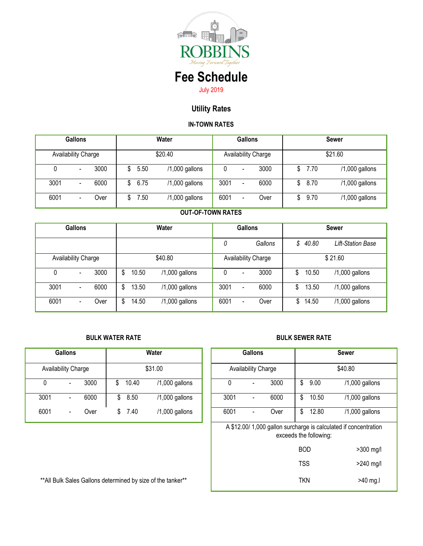

# **Fee Schedule** July 2019

# **Utility Rates**

## **IN-TOWN RATES**

| <b>Gallons</b> |                              |      | Water |      |                |      | Gallons                      |                     | <b>Sewer</b> |      |                |  |
|----------------|------------------------------|------|-------|------|----------------|------|------------------------------|---------------------|--------------|------|----------------|--|
|                | Availability Charge          |      |       |      | \$20.40        |      |                              | Availability Charge |              |      | \$21.60        |  |
| 0              | $\overline{\phantom{0}}$     | 3000 |       | 5.50 | /1,000 gallons |      | $\qquad \qquad \blacksquare$ | 3000                | \$           | 7.70 | /1,000 gallons |  |
| 3001           | $\qquad \qquad \blacksquare$ | 6000 | \$    | 6.75 | /1,000 gallons | 3001 | $\qquad \qquad \blacksquare$ | 6000                | \$           | 8.70 | /1,000 gallons |  |
| 6001           | $\qquad \qquad \blacksquare$ | Over |       | 7.50 | /1,000 gallons | 6001 |                              | Over                |              | 9.70 | /1,000 gallons |  |

### **OUT-OF-TOWN RATES**

| <b>Gallons</b> |                          |      | Water   |       |                  | <b>Gallons</b>             |                              |         | <b>Sewer</b> |         |                          |
|----------------|--------------------------|------|---------|-------|------------------|----------------------------|------------------------------|---------|--------------|---------|--------------------------|
|                |                          |      |         |       |                  | 0                          |                              | Gallons |              | \$40.80 | <b>Lift-Station Base</b> |
|                | Availability Charge      |      | \$40.80 |       |                  | <b>Availability Charge</b> |                              |         | \$21.60      |         |                          |
| 0              |                          | 3000 | \$      | 10.50 | $/1,000$ gallons | 0                          | $\qquad \qquad \blacksquare$ | 3000    | \$           | 10.50   | /1,000 gallons           |
| 3001           | $\blacksquare$           | 6000 | \$      | 13.50 | $/1,000$ gallons | 3001                       | -                            | 6000    | \$           | 13.50   | /1,000 gallons           |
| 6001           | $\overline{\phantom{0}}$ | Over | \$      | 14.50 | $/1,000$ gallons | 6001                       | -                            | Over    | \$           | 14.50   | /1,000 gallons           |

#### **BULK WATER RATE BULK SEWER RATE**

| <b>Gallons</b> |                              |      | Water |       |                  |      | <b>Gallons</b>           | <b>Sewer</b> |    |       |         |
|----------------|------------------------------|------|-------|-------|------------------|------|--------------------------|--------------|----|-------|---------|
|                | Availability Charge          |      |       |       | \$31.00          |      | Availability Charge      |              |    |       | \$40.80 |
|                | $\qquad \qquad \blacksquare$ | 3000 |       | 10.40 | $/1,000$ gallons |      |                          | 3000         | S  | 9.00  | /1,00   |
| 3001           | $\blacksquare$               | 6000 | S     | 8.50  | $/1,000$ gallons | 3001 | $\overline{\phantom{a}}$ | 6000         | S  | 10.50 | /1,00   |
| 6001           | $\overline{\phantom{0}}$     | Over | S     | 7.40  | $/1,000$ gallons | 6001 | $\overline{\phantom{a}}$ | Over         | \$ | 12.80 | /1,00   |

| <b>Gallons</b>                                               |                                      |         |       | Water          |  | <b>Gallons</b>      |                          |            |            | <b>Sewer</b>           |                                                                 |  |  |
|--------------------------------------------------------------|--------------------------------------|---------|-------|----------------|--|---------------------|--------------------------|------------|------------|------------------------|-----------------------------------------------------------------|--|--|
|                                                              | <b>Availability Charge</b>           | \$31.00 |       |                |  | Availability Charge |                          |            | \$40.80    |                        |                                                                 |  |  |
| $\mathbf{0}$                                                 | 3000<br>$\blacksquare$               | \$      | 10.40 | /1,000 gallons |  | 0                   | $\overline{\phantom{a}}$ | 3000       | \$         | 9.00                   | /1,000 gallons                                                  |  |  |
| 3001                                                         | 6000<br>$\qquad \qquad \blacksquare$ | \$      | 8.50  | /1,000 gallons |  | 3001                |                          | 6000       | \$         | 10.50                  | /1,000 gallons                                                  |  |  |
| 6001                                                         | Over<br>$\blacksquare$               | \$      | 7.40  | /1,000 gallons |  | 6001                |                          | Over       | \$         | 12.80                  | /1,000 gallons                                                  |  |  |
|                                                              |                                      |         |       |                |  |                     |                          |            |            | exceeds the following: | A \$12.00/1,000 gallon surcharge is calculated if concentration |  |  |
|                                                              |                                      |         |       |                |  |                     |                          |            | <b>BOD</b> |                        | >300 mg/l                                                       |  |  |
|                                                              |                                      |         |       |                |  |                     |                          |            | <b>TSS</b> |                        | $>240$ mg/l                                                     |  |  |
| ** All Bulk Sales Gallons determined by size of the tanker** |                                      |         |       |                |  |                     |                          | <b>TKN</b> |            | $>40$ mg.              |                                                                 |  |  |